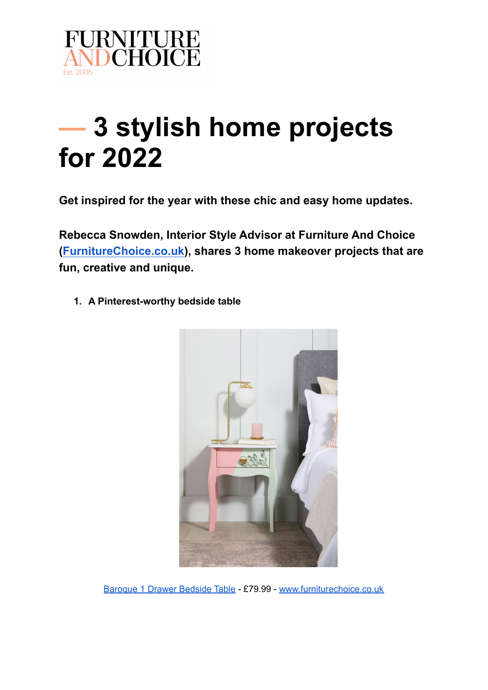

## **— 3 stylish home projects for 2022**

**Get inspired for the year with these chic and easy home updates.**

**Rebecca Snowden, Interior Style Advisor at Furniture And Choice ([FurnitureChoice.co.uk](https://www.furniturechoice.co.uk/)), shares 3 home makeover projects that are fun, creative and unique.**

**1. A Pinterest-worthy bedside table**



[Baroque](https://www.furniturechoice.co.uk/bedroom/bedroom-furniture/bedside-tables/baroque-white-1-drawer-bedside-table_wbc10003202) 1 Drawer Bedside Table - £79.99 - [www.furniturechoice.co.uk](https://www.furniturechoice.co.uk/)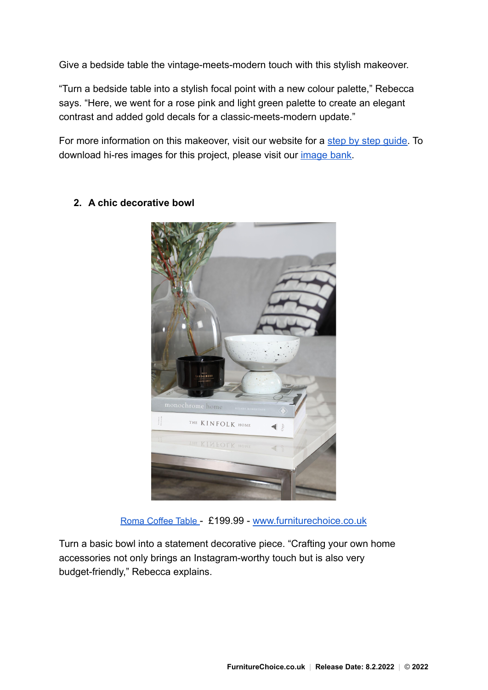Give a bedside table the vintage-meets-modern touch with this stylish makeover.

"Turn a bedside table into a stylish focal point with a new colour palette," Rebecca says. "Here, we went for a rose pink and light green palette to create an elegant contrast and added gold decals for a classic-meets-modern update."

For more information on this makeover, visit our website for a [step by step guide.](https://www.furniturechoice.co.uk/inspiration/a-pinterest-worthy-bedside-table-makeover_a10000249) To download hi-res images for this project, please visit our *image bank*.



**2. A chic decorative bowl**

Roma [Coffee](https://www.furniturechoice.co.uk/living-room-furniture/coffee-and-side-tables/roma-white-marble-and-chrome-coffee-table_ot10000065) Table - £199.99 - [www.furniturechoice.co.uk](https://www.furniturechoice.co.uk/)

Turn a basic bowl into a statement decorative piece. "Crafting your own home accessories not only brings an Instagram-worthy touch but is also very budget-friendly," Rebecca explains.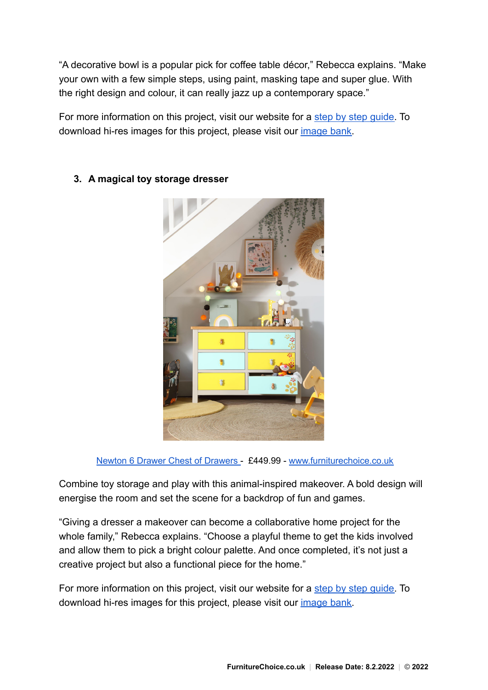"A decorative bowl is a popular pick for coffee table décor," Rebecca explains. "Make your own with a few simple steps, using paint, masking tape and super glue. With the right design and colour, it can really jazz up a contemporary space."

For more information on this project, visit our website for a [step by step guide.](https://www.furniturechoice.co.uk/inspiration/get-the-look-a-chic-decorative-bowl_a10000251) To download hi-res images for this project, please visit our [image bank.](https://www.pressloft.com/app/press-office/furnitureandchoice/images)



## **3. A magical toy storage dresser**

Newton 6 Drawer Chest of [Drawers](https://www.furniturechoice.co.uk/bedroom/bedroom-furniture/newton-painted-grey-and-oak-6-drawer-chest-of-drawers_wbc10003404) - £449.99 - [www.furniturechoice.co.uk](https://www.furniturechoice.co.uk/)

Combine toy storage and play with this animal-inspired makeover. A bold design will energise the room and set the scene for a backdrop of fun and games.

"Giving a dresser a makeover can become a collaborative home project for the whole family," Rebecca explains. "Choose a playful theme to get the kids involved and allow them to pick a bright colour palette. And once completed, it's not just a creative project but also a functional piece for the home."

For more information on this project, visit our website for a [step by step guide.](https://www.furniturechoice.co.uk/inspiration/get-the-look-a-magical-toy-storage-dresser_a10000250) To download hi-res images for this project, please visit our [image bank.](https://www.pressloft.com/app/press-office/furnitureandchoice/images)